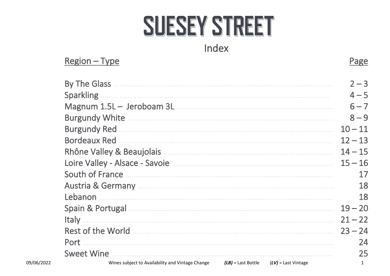# SUESEY STREET

# Index

|            | $Region - Type$                                  |                      |                       | Page      |
|------------|--------------------------------------------------|----------------------|-----------------------|-----------|
|            | By The Glass                                     |                      |                       | $2 - 3$   |
|            | <b>Sparkling</b>                                 |                      |                       | $4 - 5$   |
|            |                                                  |                      |                       | $6 - 7$   |
|            |                                                  |                      |                       | $8 - 9$   |
|            |                                                  |                      |                       | $10 - 11$ |
|            | <b>Bordeaux Red</b>                              |                      |                       | $12 - 13$ |
|            |                                                  |                      |                       | $14 - 15$ |
|            |                                                  |                      |                       | $15 - 16$ |
|            | South of France                                  |                      |                       | 17        |
|            |                                                  |                      |                       | 18        |
|            | Lebanon                                          |                      |                       | 18        |
|            |                                                  |                      |                       | $19 - 20$ |
|            | Italy                                            |                      |                       | $21 - 22$ |
|            |                                                  |                      |                       | $23 - 24$ |
|            | Port                                             |                      |                       | 24        |
|            | <b>Sweet Wine</b>                                |                      |                       | 25        |
| 09/06/2022 | Wines subject to Availability and Vintage Change | $(LB)$ = Last Bottle | $(LV)$ = Last Vintage | 1         |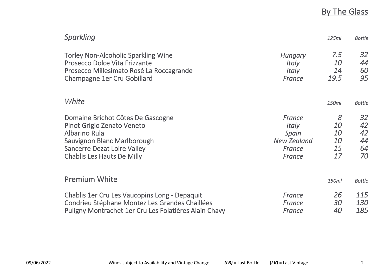# **By The Glass**

| <b>Sparkling</b>                                      |                    | 125ml     | <b>Bottle</b> |
|-------------------------------------------------------|--------------------|-----------|---------------|
| <b>Torley Non-Alcoholic Sparkling Wine</b>            | <b>Hungary</b>     | 7.5       | 32            |
| <b>Prosecco Dolce Vita Frizzante</b>                  | <i>Italy</i>       | <i>10</i> | 44            |
| Prosecco Millesimato Rosé La Roccagrande              | <i>Italy</i>       | 14        | 60            |
| Champagne 1er Cru Gobillard                           | France             | 19.5      | 95            |
| White                                                 |                    | 150ml     | <b>Bottle</b> |
| Domaine Brichot Côtes De Gascogne                     | France             | 8         | 32            |
| Pinot Grigio Zenato Veneto                            | <i>Italy</i>       | <i>10</i> | 42            |
| Albarino Rula                                         | Spain              | 10        | 42            |
| Sauvignon Blanc Marlborough                           | <b>New Zealand</b> | <i>10</i> | 44            |
| <b>Sancerre Dezat Loire Valley</b>                    | France             | 15        | 64            |
| <b>Chablis Les Hauts De Milly</b>                     | France             | 17        | 70            |
| <b>Premium White</b>                                  |                    | 150ml     | <b>Bottle</b> |
| Chablis 1er Cru Les Vaucopins Long - Depaquit         | France             | 26        | 115           |
| Condrieu Stéphane Montez Les Grandes Chaillées        | France             | 30        | <i>130</i>    |
| Puligny Montrachet 1er Cru Les Folatières Alain Chavy | France             | 40        | 185           |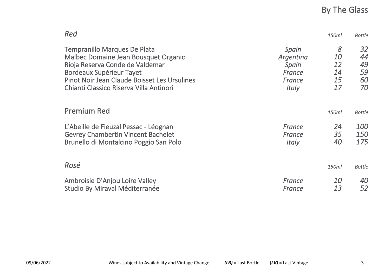### By The Glass

| Red                                          |              | 150ml     | <b>Bottle</b> |
|----------------------------------------------|--------------|-----------|---------------|
| <b>Tempranillo Marques De Plata</b>          | Spain        | 8         | 32            |
| Malbec Domaine Jean Bousquet Organic         | Argentina    | <i>10</i> | 44            |
| Rioja Reserva Conde de Valdemar              | Spain        | 12        | 49            |
| Bordeaux Supérieur Tayet                     | France       | 14        | 59            |
| Pinot Noir Jean Claude Boisset Les Ursulines | France       | 15        | 60            |
| Chianti Classico Riserva Villa Antinori      | <i>Italy</i> | 17        | 70            |
| <b>Premium Red</b>                           |              | 150ml     | <b>Bottle</b> |
| L'Abeille de Fieuzal Pessac - Léognan        | France       | 24        | <i>100</i>    |
| <b>Gevrey Chambertin Vincent Bachelet</b>    | France       | 35        | <i>150</i>    |
| Brunello di Montalcino Poggio San Polo       | <i>Italy</i> | 40        | 175           |
| Rosé                                         |              | 150ml     | <b>Bottle</b> |
| Ambroisie D'Anjou Loire Valley               | France       | <i>10</i> | 40            |
| Studio By Miraval Méditerranée               | France       | 13        | 52            |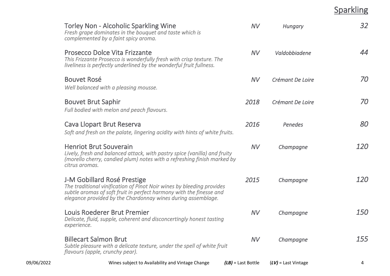### Sparkling

| 09/06/2022 | Wines subject to Availability and Vintage Change                                                                                                                                                                                            | $(LB)$ = Last Bottle | $(LV)$ = Last Vintage | 4          |
|------------|---------------------------------------------------------------------------------------------------------------------------------------------------------------------------------------------------------------------------------------------|----------------------|-----------------------|------------|
|            | <b>Billecart Salmon Brut</b><br>Subtle pleasure with a delicate texture, under the spell of white fruit<br>flavours (apple, crunchy pear).                                                                                                  | <b>NV</b>            | Champagne             | 155        |
|            | Louis Roederer Brut Premier<br>Delicate, fluid, supple, coherent and disconcertingly honest tasting<br>experience.                                                                                                                          | <b>NV</b>            | Champagne             | <i>150</i> |
|            | J-M Gobillard Rosé Prestige<br>The traditional vinification of Pinot Noir wines by bleeding provides<br>subtle aromas of soft fruit in perfect harmony with the finesse and<br>elegance provided by the Chardonnay wines during assemblage. | 2015                 | Champagne             | <i>120</i> |
|            | <b>Henriot Brut Souverain</b><br>Lively, fresh and balanced attack, with pastry spice (vanilla) and fruity<br>(morello cherry, candied plum) notes with a refreshing finish marked by<br>citrus aromas.                                     | <b>NV</b>            | Champagne             | 120        |
|            | Cava Llopart Brut Reserva<br>Soft and fresh on the palate, lingering acidity with hints of white fruits.                                                                                                                                    | 2016                 | Penedes               | 80         |
|            | <b>Bouvet Brut Saphir</b><br>Full bodied with melon and peach flavours.                                                                                                                                                                     | 2018                 | Crémant De Loire      | 70         |
|            | <b>Bouvet Rosé</b><br>Well balanced with a pleasing mousse.                                                                                                                                                                                 | <b>NV</b>            | Crémant De Loire      | 70         |
|            | Prosecco Dolce Vita Frizzante<br>This Frizzante Prosecco is wonderfully fresh with crisp texture. The<br>liveliness is perfectly underlined by the wonderful fruit fullness.                                                                | <b>NV</b>            | Valdobbiadene         | 44         |
|            | <b>Torley Non - Alcoholic Sparkling Wine</b><br>Fresh grape dominates in the bouquet and taste which is<br>complemented by a faint spicy aroma.                                                                                             | <b>NV</b>            | Hungary               | 32         |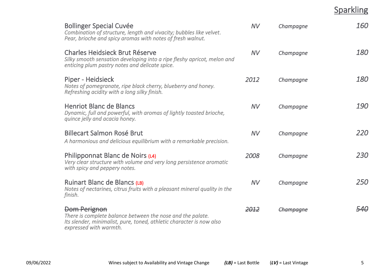Sparkling

| <b>Bollinger Special Cuvée</b><br>Combination of structure, length and vivacity; bubbles like velvet.<br>Pear, brioche and spicy aromas with notes of fresh walnut.          | NV        | Champagne        | 160        |
|------------------------------------------------------------------------------------------------------------------------------------------------------------------------------|-----------|------------------|------------|
| <b>Charles Heidsieck Brut Réserve</b><br>Silky smooth sensation developing into a ripe fleshy apricot, melon and<br>enticing plum pastry notes and delicate spice.           | <b>NV</b> | Champagne        | <i>180</i> |
| Piper - Heidsieck<br>Notes of pomegranate, ripe black cherry, blueberry and honey.<br>Refreshing acidity with a long silky finish.                                           | 2012      | Champagne        | <i>180</i> |
| <b>Henriot Blanc de Blancs</b><br>Dynamic, full and powerful, with aromas of lightly toasted brioche,<br>quince jelly and acacia honey.                                      | <b>NV</b> | Champagne        | <i>190</i> |
| <b>Billecart Salmon Rosé Brut</b><br>A harmonious and delicious equilibrium with a remarkable precision.                                                                     | <b>NV</b> | Champagne        | 220        |
| Philipponnat Blanc de Noirs (L4)<br>Very clear structure with volume and very long persistence aromatic<br>with spicy and peppery notes.                                     | 2008      | Champagne        | 230        |
| Ruinart Blanc de Blancs (LB)<br>Notes of nectarines, citrus fruits with a pleasant mineral quality in the<br>finish.                                                         | <b>NV</b> | Champagne        | 250        |
| Dom Perignon<br>There is complete balance between the nose and the palate.<br>Its slender, minimalist, pure, toned, athletic character is now also<br>expressed with warmth. | 2012      | <u>`hampaane</u> | 540        |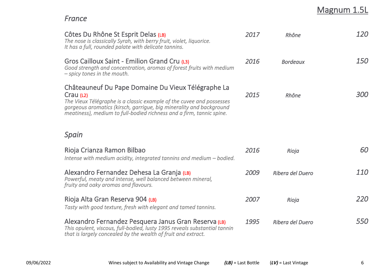# Magnum 1.5L

### *France*

| Côtes Du Rhône St Esprit Delas (LB)<br>The nose is classically Syrah, with berry fruit, violet, liquorice.<br>It has a full, rounded palate with delicate tannins.                                                                                                                     | 2017 | Rhône            | 120               |
|----------------------------------------------------------------------------------------------------------------------------------------------------------------------------------------------------------------------------------------------------------------------------------------|------|------------------|-------------------|
| Gros Cailloux Saint - Emilion Grand Cru (L3)<br>Good strength and concentration, aromas of forest fruits with medium<br>$-$ spicy tones in the mouth.                                                                                                                                  | 2016 | <b>Bordeaux</b>  | <i>150</i>        |
| Châteauneuf Du Pape Domaine Du Vieux Télégraphe La<br>Crau (L2)<br>The Vieux Télégraphe is a classic example of the cuvee and possesses<br>gorgeous aromatics (kirsch, garrigue, big minerality and background<br>meatiness), medium to full-bodied richness and a firm, tannic spine. | 2015 | Rhône            | <i>300</i>        |
| Spain                                                                                                                                                                                                                                                                                  |      |                  |                   |
| Rioja Crianza Ramon Bilbao<br>Intense with medium acidity, integrated tannins and medium $-$ bodied.                                                                                                                                                                                   | 2016 | Rioja            | 60                |
| Alexandro Fernandez Dehesa La Granja (LB)<br>Powerful, meaty and intense, well balanced between mineral,<br>fruity and oaky aromas and flavours.                                                                                                                                       | 2009 | Ribera del Duero | 110               |
| Rioja Alta Gran Reserva 904 (LB)<br>Tasty with good texture, fresh with elegant and tamed tannins.                                                                                                                                                                                     | 2007 | Rioja            | 220               |
| Alexandro Fernandez Pesquera Janus Gran Reserva (LB)<br>This opulent, viscous, full-bodied, lusty 1995 reveals substantial tannin<br>that is largely concealed by the wealth of fruit and extract.                                                                                     | 1995 | Ribera del Duero | <i><b>550</b></i> |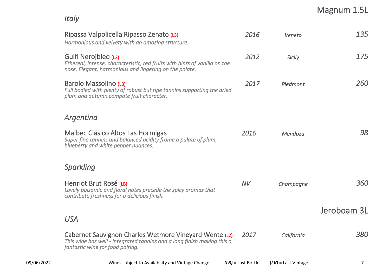# Magnum 1.5L

*Italy*

| Ripassa Valpolicella Ripasso Zenato (L3)<br>Harmonious and velvety with an amazing structure.                                                                         | 2016       | Veneto        | 135         |
|-----------------------------------------------------------------------------------------------------------------------------------------------------------------------|------------|---------------|-------------|
| Gulfi Nerojbleo (L2)<br>Ethereal, intense, characteristic, red fruits with hints of vanilla on the<br>nose. Elegant, harmonious and lingering on the palate.          | 2012       | <b>Sicily</b> | 175         |
| Barolo Massolino (LB)<br>Full bodied with plenty of robust but ripe tannins supporting the dried<br>plum and autumn compote fruit character.                          | 2017       | Piedmont      | 260         |
| Argentina                                                                                                                                                             |            |               |             |
| Malbec Clásico Altos Las Hormigas<br>Super fine tannins and balanced acidity frame a palate of plum,<br>blueberry and white pepper nuances.                           | 2016       | Mendoza       | 98          |
| <b>Sparkling</b>                                                                                                                                                      |            |               |             |
| Henriot Brut Rosé (LB)<br>Lovely balsamic and floral notes precede the spicy aromas that<br>contribute freshness for a delicious finish.                              | <b>NV</b>  | Champagne     | 360         |
|                                                                                                                                                                       |            |               | Jeroboam 3L |
| <b>USA</b>                                                                                                                                                            |            |               |             |
| Cabernet Sauvignon Charles Wetmore Vineyard Wente (L2)<br>This wine has well - integrated tannins and a long finish making this a<br>fantastic wine for food pairing. | 2017       | California    | 380         |
|                                                                                                                                                                       | $\sqrt{2}$ |               |             |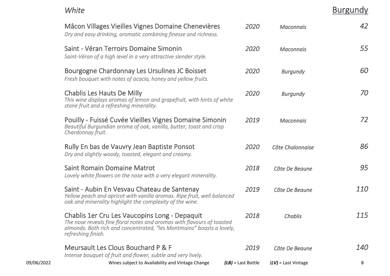*White* Burgundy

|            | Mâcon Villages Vieilles Vignes Domaine Chenevières<br>Dry and easy drinking, aromatic combining finesse and richness.                                                                                                  | 2020                 | <b>Maconnais</b>      | 42         |
|------------|------------------------------------------------------------------------------------------------------------------------------------------------------------------------------------------------------------------------|----------------------|-----------------------|------------|
|            | Saint - Véran Terroirs Domaine Simonin<br>Saint-Véran of a high level in a very attractive slender style.                                                                                                              | 2020                 | <b>Maconnais</b>      | 55         |
|            | Bourgogne Chardonnay Les Ursulines JC Boisset<br>Fresh bouquet with notes of acacia, honey and yellow fruits.                                                                                                          | 2020                 | <b>Burgundy</b>       | 60         |
|            | <b>Chablis Les Hauts De Milly</b><br>This wine displays aromas of lemon and grapefruit, with hints of white<br>stone fruit and a refreshing minerality.                                                                | 2020                 | <b>Burgundy</b>       | 70         |
|            | Pouilly - Fuissé Cuvée Vieilles Vignes Domaine Simonin<br>Beautiful Burgundian aroma of oak, vanilla, butter, toast and crisp<br>Chardonnay fruit.                                                                     | 2019                 | <b>Maconnais</b>      | 72         |
|            | Rully En bas de Vauvry Jean Baptiste Ponsot<br>Dry and slightly woody, toasted, elegant and creamy.                                                                                                                    | 2020                 | Côte Chalonnaise      | 86         |
|            | <b>Saint Romain Domaine Matrot</b><br>Lovely white flowers on the nose with a very elegant minerality.                                                                                                                 | 2018                 | Côte De Beaune        | 95         |
|            | Saint - Aubin En Vesvau Chateau de Santenay<br>Yellow peach and apricot with vanilla aromas. Ripe fruit, well balanced<br>oak and minerality highlight the complexity of the wine.                                     | 2019                 | Côte De Beaune        | 110        |
|            | Chablis 1er Cru Les Vaucopins Long - Depaquit<br>The nose reveals fine floral notes and aromas with flavours of toasted<br>almonds. Both rich and concentrated, "les Montmains" boasts a lovely,<br>refreshing finish. | 2018                 | Chablis               | 115        |
|            | Meursault Les Clous Bouchard P & F<br>Intense bouquet of fruit and flower, subtle and very lively.                                                                                                                     | 2019                 | Côte De Beaune        | <i>140</i> |
| 09/06/2022 | Wines subject to Availability and Vintage Change                                                                                                                                                                       | $(LB)$ = Last Bottle | $(LV)$ = Last Vintage | 8          |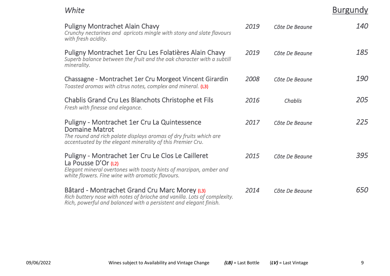*White* Burgundy

| <b>Puligny Montrachet Alain Chavy</b><br>Crunchy nectarines and apricots mingle with stony and slate flavours<br>with fresh acidity.                                                                     | 2019 | Côte De Beaune | <i>140</i> |
|----------------------------------------------------------------------------------------------------------------------------------------------------------------------------------------------------------|------|----------------|------------|
| Puligny Montrachet 1er Cru Les Folatières Alain Chavy<br>Superb balance between the fruit and the oak character with a subtill<br>minerality.                                                            | 2019 | Côte De Beaune | 185        |
| Chassagne - Montrachet 1er Cru Morgeot Vincent Girardin<br>Toasted aromas with citrus notes, complex and mineral. (L3)                                                                                   | 2008 | Côte De Beaune | <i>190</i> |
| Chablis Grand Cru Les Blanchots Christophe et Fils<br>Fresh with finesse and elegance.                                                                                                                   | 2016 | Chablis        | 205        |
| Puligny - Montrachet 1er Cru La Quintessence<br><b>Domaine Matrot</b><br>The round and rich palate displays aromas of dry fruits which are<br>accentuated by the elegant minerality of this Premier Cru. | 2017 | Côte De Beaune | 225        |
| Puligny - Montrachet 1er Cru Le Clos Le Cailleret<br>La Pousse D'Or (L2)<br>Elegant mineral overtones with toasty hints of marzipan, amber and<br>white flowers. Fine wine with aromatic flavours.       | 2015 | Côte De Beaune | 395        |
| Bâtard - Montrachet Grand Cru Marc Morey (L3)<br>Rich buttery nose with notes of brioche and vanilla. Lots of complexity.<br>Rich, powerful and balanced with a persistent and elegant finish.           | 2014 | Côte De Beaune | <i>650</i> |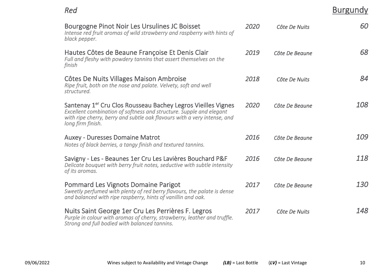| Red                                                                                                                                       |      |                | <b>Burgundy</b> |  |
|-------------------------------------------------------------------------------------------------------------------------------------------|------|----------------|-----------------|--|
| Bourgogne Pinot Noir Les Ursulines JC Boisset<br>Intense red fruit aromas of wild strawberry and raspberry with hints of<br>black pepper. | 2020 | Côte De Nuits  | 60              |  |
| Hautes Côtes de Beaune Françoise Et Denis Clair<br>Full and fleshy with powdery tannins that assert themselves on the                     | 2019 | Côte De Beaune | 68              |  |

| Hautes Côtes de Beaune Françoise Et Denis Clair<br>Full and fleshy with powdery tannins that assert themselves on the<br>finish                                                                                                                  | 2019 | Côte De Beaune | 68         |
|--------------------------------------------------------------------------------------------------------------------------------------------------------------------------------------------------------------------------------------------------|------|----------------|------------|
| Côtes De Nuits Villages Maison Ambroise<br>Ripe fruit, both on the nose and palate. Velvety, soft and well<br>structured.                                                                                                                        | 2018 | Côte De Nuits  | 84         |
| Santenay 1 <sup>er</sup> Cru Clos Rousseau Bachey Legros Vieilles Vignes<br>Excellent combination of softness and structure. Supple and elegant<br>with ripe cherry, berry and subtle oak flavours with a very intense, and<br>long firm finish. | 2020 | Côte De Beaune | <i>108</i> |
| <b>Auxey - Duresses Domaine Matrot</b><br>Notes of black berries, a tangy finish and textured tannins.                                                                                                                                           | 2016 | Côte De Beaune | 109        |
| Savigny - Les - Beaunes 1er Cru Les Lavières Bouchard P&F<br>Delicate bouquet with berry fruit notes, seductive with subtle intensity<br>of its aromas.                                                                                          | 2016 | Côte De Beaune | 118        |

Pommard Les Vignots Domaine Parigot *2017 Côte De Beaune 130 Sweetly perfumed with plenty of red berry flavours, the palate is dense and balanced with ripe raspberry, hints of vanillin and oak.*  Nuits Saint George 1er Cru Les Perrières F. Legros *2017 Côte De Nuits 148 Purple in colour with aromas of cherry, strawberry, leather and truffle.* 

*Strong and full bodied with balanced tannins.*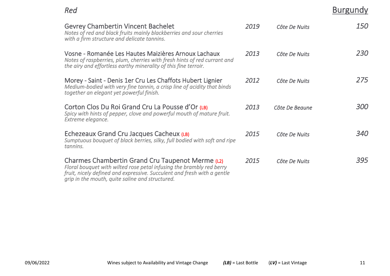**Burgundy** 

| om,<br>om,<br>. .<br>× |
|------------------------|
|------------------------|

| <b>Gevrey Chambertin Vincent Bachelet</b><br>Notes of red and black fruits mainly blackberries and sour cherries<br>with a firm structure and delicate tannins.                                                                                        | 2019 | Côte De Nuits  | <i>150</i> |
|--------------------------------------------------------------------------------------------------------------------------------------------------------------------------------------------------------------------------------------------------------|------|----------------|------------|
| Vosne - Romanée Les Hautes Maizières Arnoux Lachaux<br>Notes of raspberries, plum, cherries with fresh hints of red currant and<br>the airy and effortless earthy minerality of this fine terroir.                                                     | 2013 | Côte De Nuits  | <i>230</i> |
| Morey - Saint - Denis 1er Cru Les Chaffots Hubert Lignier<br>Medium-bodied with very fine tannin, a crisp line of acidity that binds<br>together an elegant yet powerful finish.                                                                       | 2012 | Côte De Nuits  | 275        |
| Corton Clos Du Roi Grand Cru La Pousse d'Or (LB)<br>Spicy with hints of pepper, clove and powerful mouth of mature fruit.<br>Extreme elegance.                                                                                                         | 2013 | Côte De Beaune | <i>300</i> |
| Echezeaux Grand Cru Jacques Cacheux (LB)<br>Sumptuous bouquet of black berries, silky, full bodied with soft and ripe<br>tannins.                                                                                                                      | 2015 | Côte De Nuits  | <i>340</i> |
| Charmes Chambertin Grand Cru Taupenot Merme (L2)<br>Floral bouquet with wilted rose petal infusing the brambly red berry<br>fruit, nicely defined and expressive. Succulent and fresh with a gentle<br>grip in the mouth, quite saline and structured. | 2015 | Côte De Nuits  | 395        |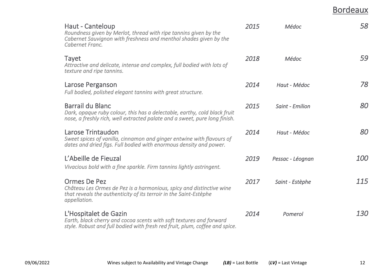Bordeaux

| Haut - Canteloup<br>Roundness given by Merlot, thread with ripe tannins given by the<br>Cabernet Sauvignon with freshness and menthol shades given by the<br>Cabernet Franc.       | 2015 | Médoc            | 58         |
|------------------------------------------------------------------------------------------------------------------------------------------------------------------------------------|------|------------------|------------|
| <b>Tayet</b><br>Attractive and delicate, intense and complex, full bodied with lots of<br>texture and ripe tannins.                                                                | 2018 | Médoc            | 59         |
| Larose Perganson<br>Full bodied, polished elegant tannins with great structure.                                                                                                    | 2014 | Haut - Médoc     | 78         |
| <b>Barrail du Blanc</b><br>Dark, opaque ruby colour, this has a delectable, earthy, cold black fruit<br>nose, a freshly rich, well extracted palate and a sweet, pure long finish. | 2015 | Saint - Emilion  | 80         |
| Larose Trintaudon<br>Sweet spices of vanilla, cinnamon and ginger entwine with flavours of<br>dates and dried figs. Full bodied with enormous density and power.                   | 2014 | Haut - Médoc     | 80         |
| L'Abeille de Fieuzal<br>Vivacious bold with a fine sparkle. Firm tannins lightly astringent.                                                                                       | 2019 | Pessac - Léognan | <i>100</i> |
| Ormes De Pez<br>Château Les Ormes de Pez is a harmonious, spicy and distinctive wine<br>that reveals the authenticity of its terroir in the Saint-Estèphe<br>appellation.          | 2017 | Saint - Estèphe  | 115        |
| L'Hospitalet de Gazin<br>Earth, black cherry and cocoa scents with soft textures and forward<br>style. Robust and full bodied with fresh red fruit, plum, coffee and spice.        | 2014 | Pomerol          | <i>130</i> |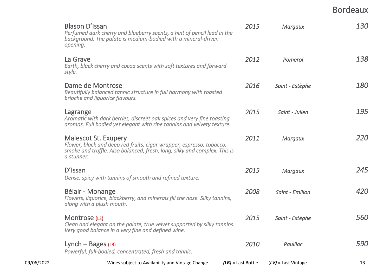Bordeaux

| 09/06/2022 | Wines subject to Availability and Vintage Change                                                                                                                                               | $(LB)$ = Last Bottle | $(LV)$ = Last Vintage | 13         |
|------------|------------------------------------------------------------------------------------------------------------------------------------------------------------------------------------------------|----------------------|-----------------------|------------|
|            | Lynch $-$ Bages (L3)<br>Powerful, full-bodied, concentrated, fresh and tannic.                                                                                                                 | 2010                 | Pauillac              | <b>590</b> |
|            | Montrose (L2)<br>Clean and elegant on the palate, true velvet supported by silky tannins.<br>Very good balance in a very fine and defined wine.                                                | 2015                 | Saint - Estèphe       | 560        |
|            | Bélair - Monange<br>Flowers, liquorice, blackberry, and minerals fill the nose. Silky tannins,<br>along with a plush mouth.                                                                    | 2008                 | Saint - Emilion       | 420        |
|            | D'Issan<br>Dense, spicy with tannins of smooth and refined texture.                                                                                                                            | 2015                 | <b>Margaux</b>        | 245        |
|            | <b>Malescot St. Exupery</b><br>Flower, black and deep red fruits, cigar wrapper, espresso, tobacco,<br>smoke and truffle. Also balanced, fresh, long, silky and complex. This is<br>a stunner. | 2011                 | <b>Margaux</b>        | 220        |
|            | Lagrange<br>Aromatic with dark berries, discreet oak spices and very fine toasting<br>aromas. Full bodied yet elegant with ripe tannins and velvety texture.                                   | 2015                 | Saint - Julien        | 195        |
|            | Dame de Montrose<br>Beautifully balanced tannic structure in full harmony with toasted<br>brioche and liquorice flavours.                                                                      | 2016                 | Saint - Estèphe       | <i>180</i> |
|            | La Grave<br>Earth, black cherry and cocoa scents with soft textures and forward<br>style.                                                                                                      | 2012                 | Pomerol               | 138        |
|            | <b>Blason D'Issan</b><br>Perfumed dark cherry and blueberry scents, a hint of pencil lead in the<br>background. The palate is medium-bodied with a mineral-driven<br>opening.                  | 2015                 | <b>Margaux</b>        | <b>130</b> |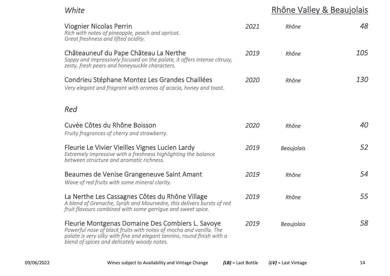# *White* **Rhône Valley & Beaujolais** *Rhône Valley & Beaujolais*

| <b>Viognier Nicolas Perrin</b><br>Rich with notes of pineapple, peach and apricot.<br>Great freshness and lifted acidity.                                                                                                                        | 2021 | Rhône             | 48         |
|--------------------------------------------------------------------------------------------------------------------------------------------------------------------------------------------------------------------------------------------------|------|-------------------|------------|
| Châteauneuf du Pape Château La Nerthe<br>Sappy and impressively focused on the palate, it offers intense citrusy,<br>zesty, fresh pears and honeysuckle characters.                                                                              | 2019 | Rhône             | 105        |
| Condrieu Stéphane Montez Les Grandes Chaillées<br>Very elegant and fragrant with aromas of acacia, honey and toast.                                                                                                                              | 2020 | Rhône             | <i>130</i> |
| Red                                                                                                                                                                                                                                              |      |                   |            |
| Cuvée Côtes du Rhône Boisson<br>Fruity fragrances of cherry and strawberry.                                                                                                                                                                      | 2020 | Rhône             | 40         |
| Fleurie Le Vivier Vieilles Vignes Lucien Lardy<br>Extremely impressive with a freshness highlighting the balance<br>between structure and aromatic richness.                                                                                     | 2019 | <b>Beaujolais</b> | 52         |
| Beaumes de Venise Grangeneuve Saint Amant<br>Wave of red fruits with some mineral clarity.                                                                                                                                                       | 2019 | Rhône             | 54         |
| La Nerthe Les Cassagnes Côtes du Rhône Village<br>A blend of Grenache, Syrah and Mourvedre, this delivers bursts of red<br>fruit flavours combined with some garrigue and sweet spice.                                                           | 2019 | Rhône             | 55         |
| Fleurie Montgenas Domaine Des Combiers L. Savoye<br>Powerful nose of black fruits with notes of mocha and vanilla. The<br>palate is very silky with fine and elegant tannins, round finish with a<br>blend of spices and delicately woody notes. | 2019 | <b>Beaujolais</b> | 58         |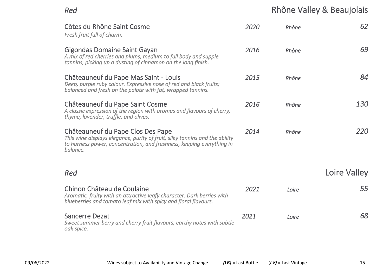**Red**<br> **Rhône Valley & Beaujolais** 

| Côtes du Rhône Saint Cosme<br>Fresh fruit full of charm.                                                                                                                                              | 2020 | Rhône | 62           |
|-------------------------------------------------------------------------------------------------------------------------------------------------------------------------------------------------------|------|-------|--------------|
| <b>Gigondas Domaine Saint Gayan</b><br>A mix of red cherries and plums, medium to full body and supple<br>tannins, picking up a dusting of cinnamon on the long finish.                               | 2016 | Rhône | 69           |
| Châteauneuf du Pape Mas Saint - Louis<br>Deep, purple ruby colour. Expressive nose of red and black fruits;<br>balanced and fresh on the palate with fat, wrapped tannins.                            | 2015 | Rhône | 84           |
| Châteauneuf du Pape Saint Cosme<br>A classic expression of the region with aromas and flavours of cherry,<br>thyme, lavender, truffle, and olives.                                                    | 2016 | Rhône | 130          |
| Châteauneuf du Pape Clos Des Pape<br>This wine displays elegance, purity of fruit, silky tannins and the ability<br>to harness power, concentration, and freshness, keeping everything in<br>balance. | 2014 | Rhône | 220          |
| Red                                                                                                                                                                                                   |      |       | Loire Valley |
| Chinon Château de Coulaine<br>Aromatic, fruity with an attractive leafy character. Dark berries with<br>blueberries and tomato leaf mix with spicy and floral flavours.                               | 2021 | Loire | 55           |
| <b>Sancerre Dezat</b><br>Sweet summer berry and cherry fruit flavours, earthy notes with subtle<br>oak spice.                                                                                         | 2021 | Loire | 68           |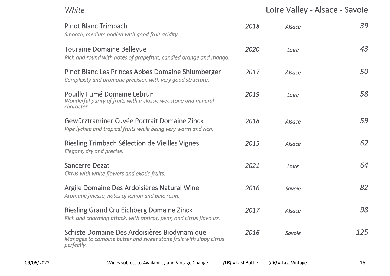*White* Loire Valley - Alsace - Savoie

| <b>Pinot Blanc Trimbach</b><br>Smooth, medium bodied with good fruit acidity.                                                   | 2018 | Alsace        | 39  |
|---------------------------------------------------------------------------------------------------------------------------------|------|---------------|-----|
| <b>Touraine Domaine Bellevue</b><br>Rich and round with notes of grapefruit, candied orange and mango.                          | 2020 | Loire         | 43  |
| Pinot Blanc Les Princes Abbes Domaine Shlumberger<br>Complexity and aromatic precision with very good structure.                | 2017 | <b>Alsace</b> | 50  |
| Pouilly Fumé Domaine Lebrun<br>Wonderful purity of fruits with a classic wet stone and mineral<br>character.                    | 2019 | Loire         | 58  |
| Gewürztraminer Cuvée Portrait Domaine Zinck<br>Ripe lychee and tropical fruits while being very warm and rich.                  | 2018 | Alsace        | 59  |
| Riesling Trimbach Sélection de Vieilles Vignes<br>Elegant, dry and precise.                                                     | 2015 | Alsace        | 62  |
| <b>Sancerre Dezat</b><br>Citrus with white flowers and exotic fruits.                                                           | 2021 | Loire         | 64  |
| Argile Domaine Des Ardoisières Natural Wine<br>Aromatic finesse, notes of lemon and pine resin.                                 | 2016 | Savoie        | 82  |
| <b>Riesling Grand Cru Eichberg Domaine Zinck</b><br>Rich and charming attack, with apricot, pear, and citrus flavours.          | 2017 | Alsace        | 98  |
| Schiste Domaine Des Ardoisières Biodynamique<br>Manages to combine butter and sweet stone fruit with zippy citrus<br>perfectly. | 2016 | Savoie        | 125 |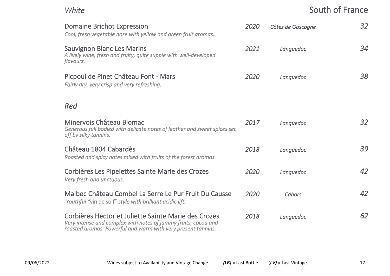# **White** South of France

| <b>Domaine Brichot Expression</b><br>Cool, fresh vegetable nose with yellow and green fruit aromas.                                                                                    | 2020 | Côtes de Gascogne | 32 |
|----------------------------------------------------------------------------------------------------------------------------------------------------------------------------------------|------|-------------------|----|
| <b>Sauvignon Blanc Les Marins</b><br>A lively wine, fresh and fruity, quite supple with well-developed<br>flavours.                                                                    | 2021 | Languedoc         | 34 |
| Picpoul de Pinet Château Font - Mars<br>Fairly dry, very crisp and very refreshing.                                                                                                    | 2020 | Languedoc         | 38 |
| Red                                                                                                                                                                                    |      |                   |    |
| Minervois Château Blomac<br>Generous full bodied with delicate notes of leather and sweet spices set<br>off by silky tannins.                                                          | 2017 | Languedoc         | 32 |
| Château 1804 Cabardès<br>Roasted and spicy notes mixed with fruits of the forest aromas.                                                                                               | 2018 | Languedoc         | 39 |
| Corbières Les Pipelettes Sainte Marie des Crozes<br>Very fresh and unctuous.                                                                                                           | 2020 | Languedoc         | 42 |
| Malbec Château Combel La Serre Le Pur Fruit Du Causse<br>Youthful "vin de soif" style with brilliant acidic lift.                                                                      | 2020 | Cahors            | 42 |
| Corbières Hector et Juliette Sainte Marie des Crozes<br>Very intense and complex with notes of jammy fruits, cocoa and<br>roasted aromas. Powerful and warm with very present tannins. | 2018 | Languedoc         | 62 |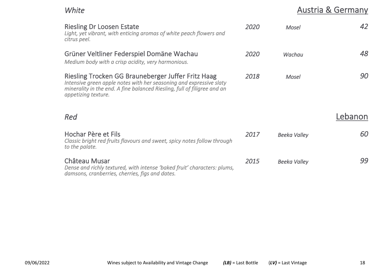# *White* **Austria & Germany**

| <b>Riesling Dr Loosen Estate</b><br>Light, yet vibrant, with enticing aromas of white peach flowers and<br>citrus peel.                                                                                                      | 2020 | <b>Mosel</b>        | 42      |
|------------------------------------------------------------------------------------------------------------------------------------------------------------------------------------------------------------------------------|------|---------------------|---------|
| Grüner Veltliner Federspiel Domäne Wachau<br>Medium body with a crisp acidity, very harmonious.                                                                                                                              | 2020 | Wachau              | 48      |
| Riesling Trocken GG Brauneberger Juffer Fritz Haag<br>Intensive green apple notes with her seasoning and expressive slaty<br>minerality in the end. A fine balanced Riesling, full of filigree and an<br>appetizing texture. | 2018 | Mosel               | 90      |
| Red                                                                                                                                                                                                                          |      |                     | Lebanon |
| Hochar Père et Fils<br>Classic bright red fruits flavours and sweet, spicy notes follow through<br>to the palate.                                                                                                            | 2017 | <b>Beeka Valley</b> | 60      |
| Château Musar<br>Dense and richly textured, with intense 'baked fruit' characters: plums,<br>damsons, cranberries, cherries, figs and dates.                                                                                 | 2015 | <b>Beeka Valley</b> | 99      |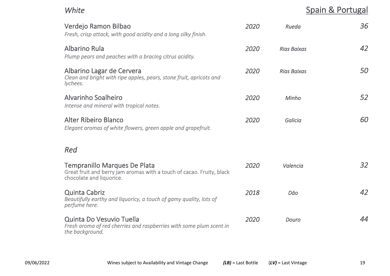*White* Spain & Portugal

| Verdejo Ramon Bilbao<br>Fresh, crisp attack, with good acidity and a long silky finish.                                           | 2020 | Rueda              | 36 |
|-----------------------------------------------------------------------------------------------------------------------------------|------|--------------------|----|
| Albarino Rula<br>Plump pears and peaches with a bracing citrus acidity.                                                           | 2020 | <b>Rias Baixas</b> | 42 |
| Albarino Lagar de Cervera<br>Clean and bright with ripe apples, pears, stone fruit, apricots and<br>lychees.                      | 2020 | <b>Rias Baixas</b> | 50 |
| Alvarinho Soalheiro<br>Intense and mineral with tropical notes.                                                                   | 2020 | Minho              | 52 |
| Alter Ribeiro Blanco<br>Elegant aromas of white flowers, green apple and grapefruit.                                              | 2020 | Galicia            | 60 |
| Red                                                                                                                               |      |                    |    |
| Tempranillo Marques De Plata<br>Great fruit and berry jam aromas with a touch of cacao. Fruity, black<br>chocolate and liquorice. | 2020 | Valencia           | 32 |
| <b>Quinta Cabriz</b><br>Beautifully earthy and liguoricy, a touch of gamy quality, lots of<br>perfume here.                       | 2018 | Dāo                | 42 |
| Quinta Do Vesuvio Tuella<br>Fresh aroma of red cherries and raspberries with some plum scent in<br>the background.                | 2020 | Douro              | 44 |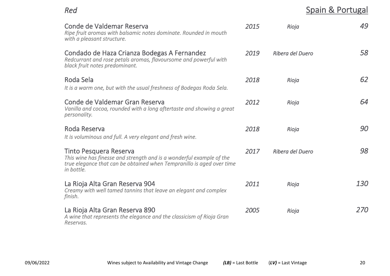| Red                                                                                                                                                                                   |      |                  | Spain & Portugal |
|---------------------------------------------------------------------------------------------------------------------------------------------------------------------------------------|------|------------------|------------------|
| Conde de Valdemar Reserva<br>Ripe fruit aromas with balsamic notes dominate. Rounded in mouth<br>with a pleasant structure.                                                           | 2015 | Rioja            | 49               |
| Condado de Haza Crianza Bodegas A Fernandez<br>Redcurrant and rose petals aromas, flavoursome and powerful with<br>black fruit notes predominant.                                     | 2019 | Ribera del Duero | 58               |
| Roda Sela<br>It is a warm one, but with the usual freshness of Bodegas Roda Sela.                                                                                                     | 2018 | Rioja            | 62               |
| Conde de Valdemar Gran Reserva<br>Vanilla and cocoa, rounded with a long aftertaste and showing a great<br>personality.                                                               | 2012 | Rioja            | 64               |
| Roda Reserva<br>It is voluminous and full. A very elegant and fresh wine.                                                                                                             | 2018 | Rioja            | 90               |
| Tinto Pesquera Reserva<br>This wine has finesse and strength and is a wonderful example of the<br>true elegance that can be obtained when Tempranillo is aged over time<br>in bottle. | 2017 | Ribera del Duero | 98               |
| La Rioja Alta Gran Reserva 904<br>Creamy with well tamed tannins that leave an elegant and complex<br>finish.                                                                         | 2011 | Rioja            | 130              |
| La Rioja Alta Gran Reserva 890<br>A wine that represents the elegance and the classicism of Rioja Gran<br>Reservas.                                                                   | 2005 | Rioja            | 270              |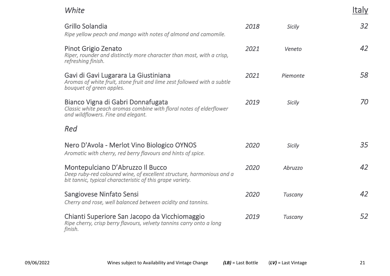Italy

### *White*

| Grillo Solandia<br>Ripe yellow peach and mango with notes of almond and camomile.                                                                                      | 2018 | <b>Sicily</b>  | 32 |
|------------------------------------------------------------------------------------------------------------------------------------------------------------------------|------|----------------|----|
| Pinot Grigio Zenato<br>Riper, rounder and distinctly more character than most, with a crisp,<br>refreshing finish.                                                     | 2021 | Veneto         | 42 |
| Gavi di Gavi Lugarara La Giustiniana<br>Aromas of white fruit, stone fruit and lime zest followed with a subtle<br>bouquet of green apples.                            | 2021 | Piemonte       | 58 |
| Bianco Vigna di Gabri Donnafugata<br>Classic white peach aromas combine with floral notes of elderflower<br>and wildflowers. Fine and elegant.                         | 2019 | <b>Sicily</b>  | 70 |
| Red                                                                                                                                                                    |      |                |    |
| Nero D'Avola - Merlot Vino Biologico OYNOS<br>Aromatic with cherry, red berry flavours and hints of spice.                                                             | 2020 | <b>Sicily</b>  | 35 |
| Montepulciano D'Abruzzo Il Bucco<br>Deep ruby-red coloured wine, of excellent structure, harmonious and a<br>bit tannic, typical characteristic of this grape variety. | 2020 | Abruzzo        | 42 |
| Sangiovese Ninfato Sensi<br>Cherry and rose, well balanced between acidity and tannins.                                                                                | 2020 | <b>Tuscany</b> | 42 |
| Chianti Superiore San Jacopo da Vicchiomaggio<br>Ripe cherry, crisp berry flavours, velvety tannins carry onto a long<br>finish.                                       | 2019 | <b>Tuscany</b> | 52 |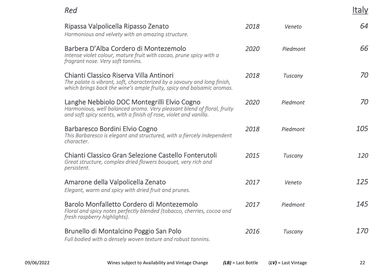Italy

| Ripassa Valpolicella Ripasso Zenato<br>Harmonious and velvety with an amazing structure.                                                                                                     | 2018 | Veneto         | 64         |
|----------------------------------------------------------------------------------------------------------------------------------------------------------------------------------------------|------|----------------|------------|
| Barbera D'Alba Cordero di Montezemolo<br>Intense violet colour, mature fruit with cacao, prune spicy with a<br>fragrant nose. Very soft tannins.                                             | 2020 | Piedmont       | 66         |
| Chianti Classico Riserva Villa Antinori<br>The palate is vibrant, soft, characterized by a savoury and long finish,<br>which brings back the wine's ample fruity, spicy and balsamic aromas. | 2018 | Tuscany        | 70         |
| Langhe Nebbiolo DOC Montegrilli Elvio Cogno<br>Harmonious, well balanced aroma. Very pleasant blend of floral, fruity<br>and soft spicy scents, with a finish of rose, violet and vanilla.   | 2020 | Piedmont       | 70         |
| Barbaresco Bordini Elvio Cogno<br>This Barbaresco is elegant and structured, with a fiercely independent<br>character.                                                                       | 2018 | Piedmont       | 105        |
| Chianti Classico Gran Selezione Castello Fonterutoli<br>Great structure, complex dried flowers bouquet, very rich and<br>persistent.                                                         | 2015 | Tuscany        | 120        |
| Amarone della Valpolicella Zenato<br>Elegant, warm and spicy with dried fruit and prunes.                                                                                                    | 2017 | Veneto         | 125        |
| Barolo Monfalletto Cordero di Montezemolo<br>Floral and spicy notes perfectly blended (tobacco, cherries, cocoa and<br>fresh raspberry highlights).                                          | 2017 | Piedmont       | 145        |
| Brunello di Montalcino Poggio San Polo<br>Full bodied with a densely woven texture and robust tannins.                                                                                       | 2016 | <b>Tuscany</b> | <i>170</i> |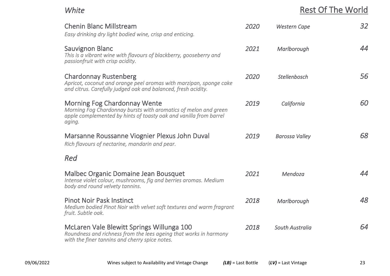### *White* Rest Of The World

| <b>Chenin Blanc Millstream</b><br>Easy drinking dry light bodied wine, crisp and enticing.                                                                                            | 2020 | <b>Western Cape</b>    | 32 |
|---------------------------------------------------------------------------------------------------------------------------------------------------------------------------------------|------|------------------------|----|
| <b>Sauvignon Blanc</b><br>This is a vibrant wine with flavours of blackberry, gooseberry and<br>passionfruit with crisp acidity.                                                      | 2021 | Marlborough            | 44 |
| <b>Chardonnay Rustenberg</b><br>Apricot, coconut and orange peel aromas with marzipan, sponge cake<br>and citrus. Carefully judged oak and balanced, fresh acidity.                   | 2020 | Stellenbosch           | 56 |
| <b>Morning Fog Chardonnay Wente</b><br>Morning Fog Chardonnay bursts with aromatics of melon and green<br>apple complemented by hints of toasty oak and vanilla from barrel<br>aging. | 2019 | California             | 60 |
| Marsanne Roussanne Viognier Plexus John Duval<br>Rich flavours of nectarine, mandarin and pear.                                                                                       | 2019 | <b>Barossa Valley</b>  | 68 |
| Red                                                                                                                                                                                   |      |                        |    |
| Malbec Organic Domaine Jean Bousquet<br>Intense violet colour, mushrooms, fig and berries aromas. Medium<br>body and round velvety tannins.                                           | 2021 | Mendoza                | 44 |
| <b>Pinot Noir Pask Instinct</b><br>Medium bodied Pinot Noir with velvet soft textures and warm fragrant<br>fruit. Subtle oak.                                                         | 2018 | Marlborough            | 48 |
| McLaren Vale Blewitt Springs Willunga 100<br>Roundness and richness from the lees ageing that works in harmony<br>with the finer tannins and cherry spice notes.                      | 2018 | <b>South Australia</b> | 64 |
|                                                                                                                                                                                       |      |                        |    |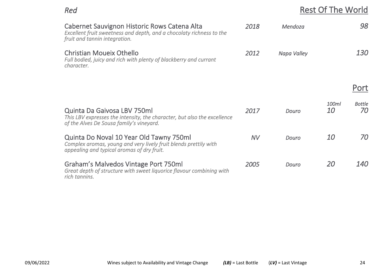### **Rest Of The World**

| Cabernet Sauvignon Historic Rows Catena Alta<br>Excellent fruit sweetness and depth, and a chocolaty richness to the<br>fruit and tannin integration.      | 2018      | Mendoza     |                    | 98                  |
|------------------------------------------------------------------------------------------------------------------------------------------------------------|-----------|-------------|--------------------|---------------------|
| Christian Moueix Othello<br>Full bodied, juicy and rich with plenty of blackberry and currant<br>character.                                                | 2012      | Napa Valley |                    | <i>130</i>          |
|                                                                                                                                                            |           |             |                    | Port                |
| <b>Quinta Da Gaivosa LBV 750ml</b><br>This LBV expresses the intensity, the character, but also the excellence<br>of the Alves De Sousa family's vineyard. | 2017      | Douro       | 100ml<br><i>10</i> | <b>Bottle</b><br>70 |
| Quinta Do Noval 10 Year Old Tawny 750ml<br>Complex aromas, young and very lively fruit blends prettily with<br>appealing and typical aromas of dry fruit.  | <b>NV</b> | Douro       | <i>10</i>          | 70                  |
| Graham's Malvedos Vintage Port 750ml<br>Great depth of structure with sweet liquorice flavour combining with<br>rich tannins.                              | 2005      | Douro       | <i>20</i>          | <i>140</i>          |